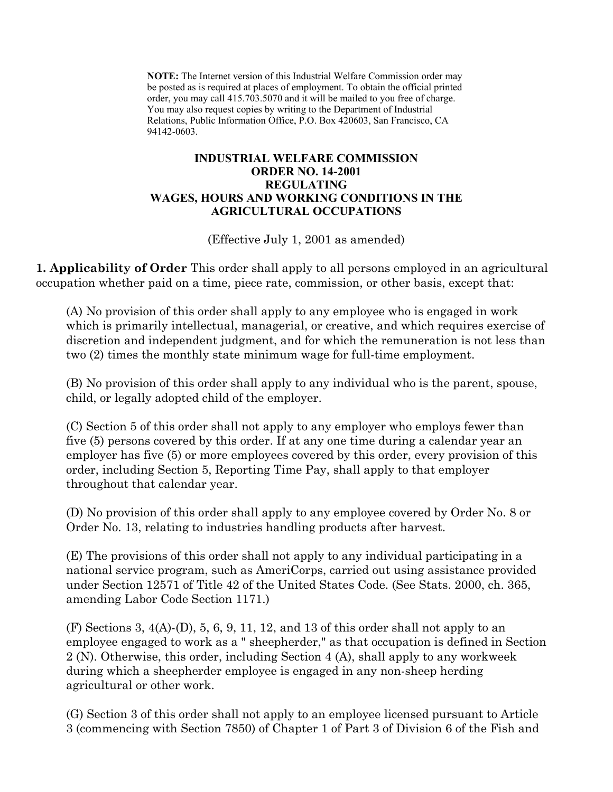**NOTE:** The Internet version of this Industrial Welfare Commission order may order, you may call 415.703.5070 and it will be mailed to you free of charge. You may also request copies by writing to the Department of Industrial be posted as is required at places of employment. To obtain the official printed Relations, Public Information Office, P.O. Box 420603, San Francisco, CA 94142-0603.

# **REGULATING INDUSTRIAL WELFARE COMMISSION ORDER NO. 14-2001 REGULATING<br>WAGES, HOURS AND WORKING CONDITIONS IN THE<br>AGRICULTURAL OCCUPATIONS**

(Effective July 1, 2001 as amended)

**1. Applicability of Order** This order shall apply to all persons employed in an agricultural occupation whether paid on a time, piece rate, commission, or other basis, except that:

(A) No provision of this order shall apply to any employee who is engaged in work which is primarily intellectual, managerial, or creative, and which requires exercise of discretion and independent judgment, and for which the remuneration is not less than two (2) times the monthly state minimum wage for full-time employment.

(B) No provision of this order shall apply to any individual who is the parent, spouse, child, or legally adopted child of the employer.

(C) Section 5 of this order shall not apply to any employer who employs fewer than five (5) persons covered by this order. If at any one time during a calendar year an employer has five (5) or more employees covered by this order, every provision of this order, including Section 5, Reporting Time Pay, shall apply to that employer throughout that calendar year.

(D) No provision of this order shall apply to any employee covered by Order No. 8 or Order No. 13, relating to industries handling products after harvest.

(E) The provisions of this order shall not apply to any individual participating in a national service program, such as AmeriCorps, carried out using assistance provided under Section 12571 of Title 42 of the United States Code. (See Stats. 2000, ch. 365, amending Labor Code Section 1171.)

 $(F)$  Sections 3,  $4(A)$ - $(D)$ , 5, 6, 9, 11, 12, and 13 of this order shall not apply to an employee engaged to work as a " sheepherder," as that occupation is defined in Section 2 (N). Otherwise, this order, including Section 4 (A), shall apply to any workweek during which a sheepherder employee is engaged in any non-sheep herding agricultural or other work.

(G) Section 3 of this order shall not apply to an employee licensed pursuant to Article 3 (commencing with Section 7850) of Chapter 1 of Part 3 of Division 6 of the Fish and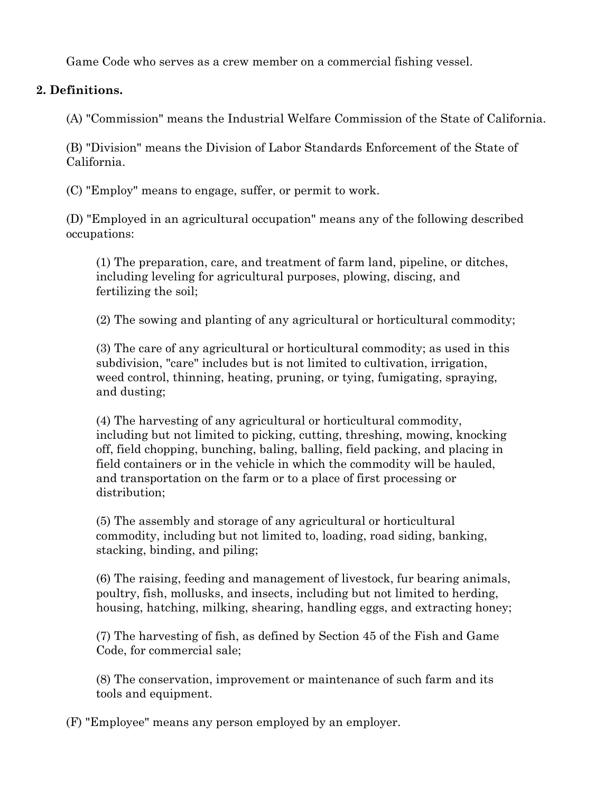Game Code who serves as a crew member on a commercial fishing vessel.

# **2. Definitions.**

(A) "Commission" means the Industrial Welfare Commission of the State of California.

(B) "Division" means the Division of Labor Standards Enforcement of the State of California.

(C) "Employ" means to engage, suffer, or permit to work.

(D) "Employed in an agricultural occupation" means any of the following described occupations:

(1) The preparation, care, and treatment of farm land, pipeline, or ditches, including leveling for agricultural purposes, plowing, discing, and fertilizing the soil;

(2) The sowing and planting of any agricultural or horticultural commodity;

(3) The care of any agricultural or horticultural commodity; as used in this subdivision, "care" includes but is not limited to cultivation, irrigation, weed control, thinning, heating, pruning, or tying, fumigating, spraying, and dusting;

(4) The harvesting of any agricultural or horticultural commodity, including but not limited to picking, cutting, threshing, mowing, knocking off, field chopping, bunching, baling, balling, field packing, and placing in field containers or in the vehicle in which the commodity will be hauled, and transportation on the farm or to a place of first processing or distribution;

(5) The assembly and storage of any agricultural or horticultural commodity, including but not limited to, loading, road siding, banking, stacking, binding, and piling;

(6) The raising, feeding and management of livestock, fur bearing animals, poultry, fish, mollusks, and insects, including but not limited to herding, housing, hatching, milking, shearing, handling eggs, and extracting honey;

(7) The harvesting of fish, as defined by Section 45 of the Fish and Game Code, for commercial sale;

(8) The conservation, improvement or maintenance of such farm and its tools and equipment.

(F) "Employee" means any person employed by an employer.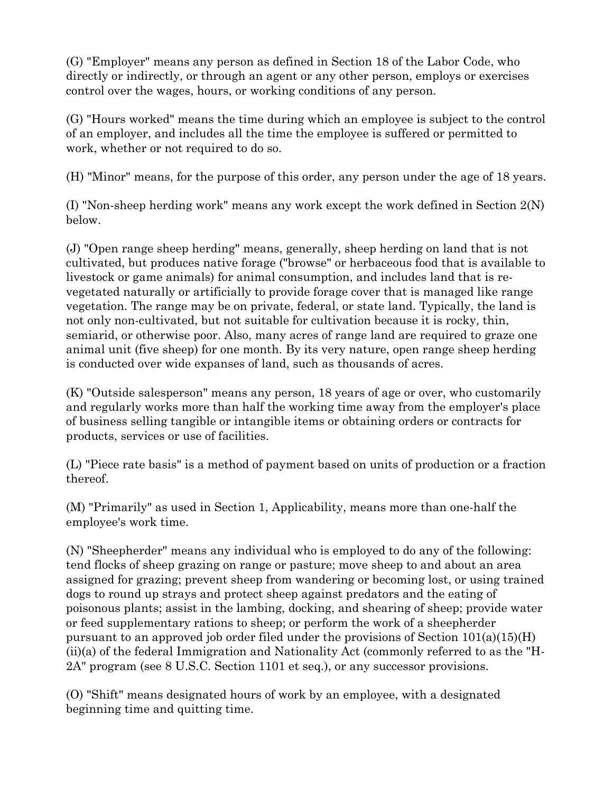(G) "Employer" means any person as defined in Section 18 of the Labor Code, who directly or indirectly, or through an agent or any other person, employs or exercises control over the wages, hours, or working conditions of any person.

(G) "Hours worked" means the time during which an employee is subject to the control of an employer, and includes all the time the employee is suffered or permitted to work, whether or not required to do so.

(H) "Minor" means, for the purpose of this order, any person under the age of 18 years.

(I) "Non-sheep herding work" means any work except the work defined in Section 2(N) below.

(J) "Open range sheep herding" means, generally, sheep herding on land that is not cultivated, but produces native forage ("browse" or herbaceous food that is available to livestock or game animals) for animal consumption, and includes land that is revegetated naturally or artificially to provide forage cover that is managed like range vegetation. The range may be on private, federal, or state land. Typically, the land is not only non-cultivated, but not suitable for cultivation because it is rocky, thin, semiarid, or otherwise poor. Also, many acres of range land are required to graze one animal unit (five sheep) for one month. By its very nature, open range sheep herding is conducted over wide expanses of land, such as thousands of acres.

(K) "Outside salesperson" means any person, 18 years of age or over, who customarily and regularly works more than half the working time away from the employer's place of business selling tangible or intangible items or obtaining orders or contracts for products, services or use of facilities.

(L) "Piece rate basis" is a method of payment based on units of production or a fraction thereof.

(M) "Primarily" as used in Section 1, Applicability, means more than one-half the employee's work time.

(N) "Sheepherder" means any individual who is employed to do any of the following: tend flocks of sheep grazing on range or pasture; move sheep to and about an area assigned for grazing; prevent sheep from wandering or becoming lost, or using trained dogs to round up strays and protect sheep against predators and the eating of poisonous plants; assist in the lambing, docking, and shearing of sheep; provide water or feed supplementary rations to sheep; or perform the work of a sheepherder pursuant to an approved job order filed under the provisions of Section 101(a)(15)(H) (ii)(a) of the federal Immigration and Nationality Act (commonly referred to as the "H-2A" program (see 8 U.S.C. Section 1101 et seq.), or any successor provisions.

(O) "Shift" means designated hours of work by an employee, with a designated beginning time and quitting time.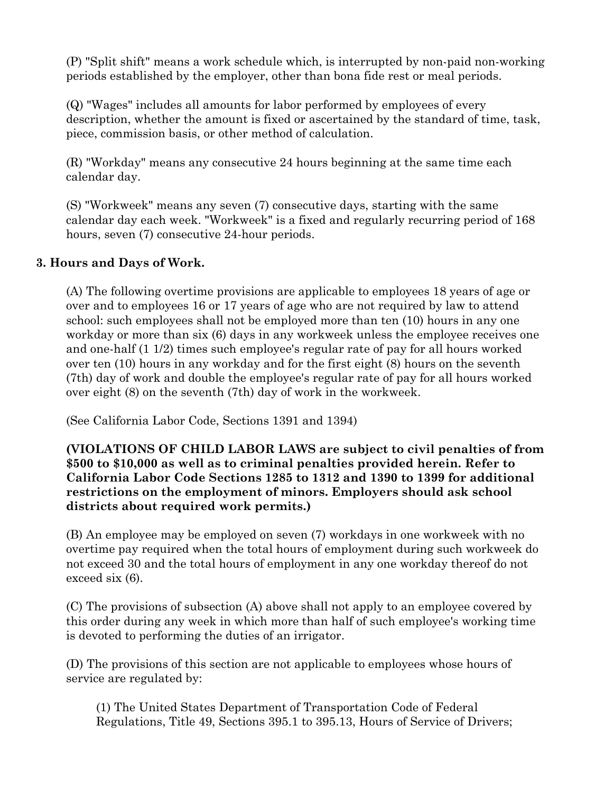(P) "Split shift" means a work schedule which, is interrupted by non-paid non-working periods established by the employer, other than bona fide rest or meal periods.

(Q) "Wages" includes all amounts for labor performed by employees of every description, whether the amount is fixed or ascertained by the standard of time, task, piece, commission basis, or other method of calculation.

calendar day. (R) "Workday" means any consecutive 24 hours beginning at the same time each

 $(S)$  "Workweek" means any seven  $(7)$  consecutive days, starting with the same calendar day each week. "Workweek" is a fixed and regularly recurring period of 168 hours, seven (7) consecutive 24-hour periods.

# **3. Hours and Days of Work.**

(A) The following overtime provisions are applicable to employees 18 years of age or over and to employees 16 or 17 years of age who are not required by law to attend school: such employees shall not be employed more than ten (10) hours in any one workday or more than six (6) days in any workweek unless the employee receives one and one-half (1 1/2) times such employee's regular rate of pay for all hours worked over ten (10) hours in any workday and for the first eight (8) hours on the seventh (7th) day of work and double the employee's regular rate of pay for all hours worked over eight (8) on the seventh (7th) day of work in the workweek.

(See California Labor Code, Sections 1391 and 1394)

**(VIOLATIONS OF CHILD LABOR LAWS are subject to civil penalties of from \$500 to \$10,000 as well as to criminal penalties provided herein. Refer to California Labor Code Sections 1285 to 1312 and 1390 to 1399 for additional restrictions on the employment of minors. Employers should ask school districts about required work permits.)** 

(B) An employee may be employed on seven (7) workdays in one workweek with no overtime pay required when the total hours of employment during such workweek do not exceed 30 and the total hours of employment in any one workday thereof do not exceed six (6).

is devoted to performing the duties of an irrigator. (C) The provisions of subsection (A) above shall not apply to an employee covered by this order during any week in which more than half of such employee's working time

(D) The provisions of this section are not applicable to employees whose hours of service are regulated by:

(1) The United States Department of Transportation Code of Federal Regulations, Title 49, Sections 395.1 to 395.13, Hours of Service of Drivers;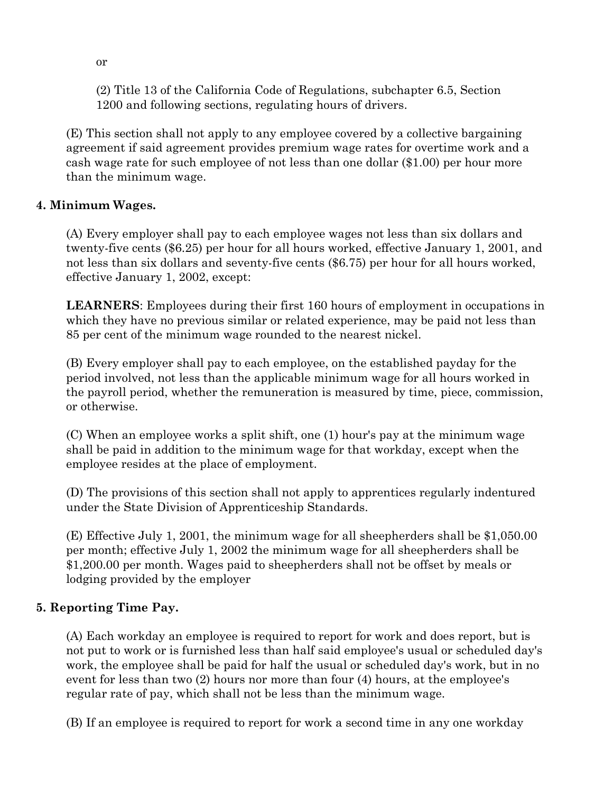(2) Title 13 of the California Code of Regulations, subchapter 6.5, Section 1200 and following sections, regulating hours of drivers.

(E) This section shall not apply to any employee covered by a collective bargaining agreement if said agreement provides premium wage rates for overtime work and a cash wage rate for such employee of not less than one dollar (\$1.00) per hour more than the minimum wage.

# **4. Minimum Wages.**

(A) Every employer shall pay to each employee wages not less than six dollars and twenty-five cents (\$6.25) per hour for all hours worked, effective January 1, 2001, and not less than six dollars and seventy-five cents (\$6.75) per hour for all hours worked, effective January 1, 2002, except:

**LEARNERS**: Employees during their first 160 hours of employment in occupations in which they have no previous similar or related experience, may be paid not less than 85 per cent of the minimum wage rounded to the nearest nickel.

(B) Every employer shall pay to each employee, on the established payday for the period involved, not less than the applicable minimum wage for all hours worked in the payroll period, whether the remuneration is measured by time, piece, commission, or otherwise.

(C) When an employee works a split shift, one (1) hour's pay at the minimum wage shall be paid in addition to the minimum wage for that workday, except when the employee resides at the place of employment.

(D) The provisions of this section shall not apply to apprentices regularly indentured under the State Division of Apprenticeship Standards.

(E) Effective July 1, 2001, the minimum wage for all sheepherders shall be \$1,050.00 per month; effective July 1, 2002 the minimum wage for all sheepherders shall be \$1,200.00 per month. Wages paid to sheepherders shall not be offset by meals or lodging provided by the employer

### **5. Reporting Time Pay.**

(A) Each workday an employee is required to report for work and does report, but is not put to work or is furnished less than half said employee's usual or scheduled day's work, the employee shall be paid for half the usual or scheduled day's work, but in no event for less than two (2) hours nor more than four (4) hours, at the employee's regular rate of pay, which shall not be less than the minimum wage.

(B) If an employee is required to report for work a second time in any one workday

or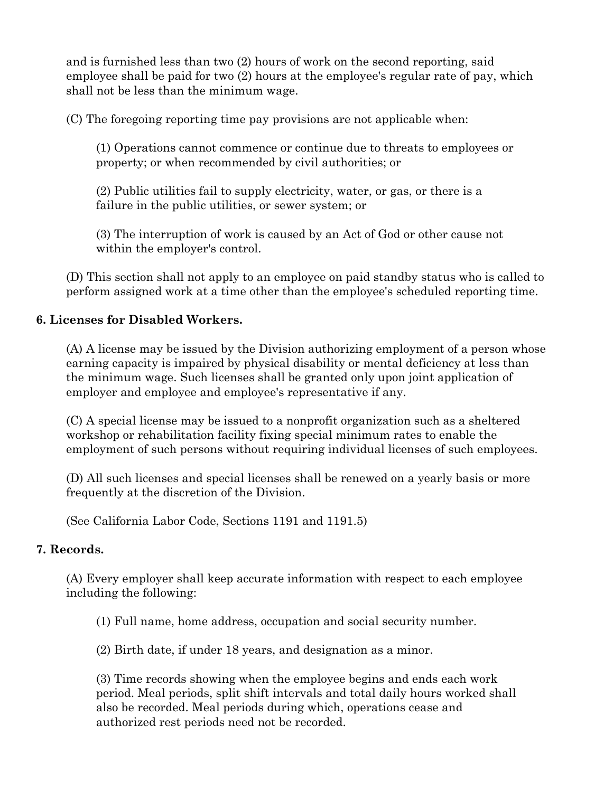and is furnished less than two (2) hours of work on the second reporting, said employee shall be paid for two (2) hours at the employee's regular rate of pay, which shall not be less than the minimum wage.

(C) The foregoing reporting time pay provisions are not applicable when:

(1) Operations cannot commence or continue due to threats to employees or property; or when recommended by civil authorities; or

(2) Public utilities fail to supply electricity, water, or gas, or there is a failure in the public utilities, or sewer system; or

(3) The interruption of work is caused by an Act of God or other cause not within the employer's control.

(D) This section shall not apply to an employee on paid standby status who is called to perform assigned work at a time other than the employee's scheduled reporting time.

### **6. Licenses for Disabled Workers.**

(A) A license may be issued by the Division authorizing employment of a person whose earning capacity is impaired by physical disability or mental deficiency at less than the minimum wage. Such licenses shall be granted only upon joint application of employer and employee and employee's representative if any.

(C) A special license may be issued to a nonprofit organization such as a sheltered workshop or rehabilitation facility fixing special minimum rates to enable the employment of such persons without requiring individual licenses of such employees.

(D) All such licenses and special licenses shall be renewed on a yearly basis or more frequently at the discretion of the Division.

(See California Labor Code, Sections 1191 and 1191.5)

#### **7. Records.**

(A) Every employer shall keep accurate information with respect to each employee including the following:

(1) Full name, home address, occupation and social security number.

(2) Birth date, if under 18 years, and designation as a minor.

(3) Time records showing when the employee begins and ends each work period. Meal periods, split shift intervals and total daily hours worked shall also be recorded. Meal periods during which, operations cease and authorized rest periods need not be recorded.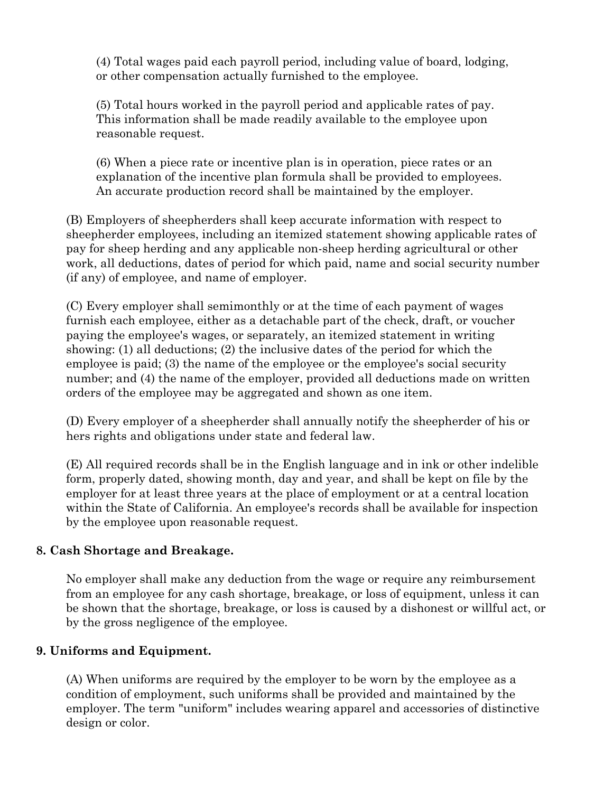(4) Total wages paid each payroll period, including value of board, lodging, or other compensation actually furnished to the employee.

(5) Total hours worked in the payroll period and applicable rates of pay. This information shall be made readily available to the employee upon reasonable request.

(6) When a piece rate or incentive plan is in operation, piece rates or an explanation of the incentive plan formula shall be provided to employees. An accurate production record shall be maintained by the employer.

(B) Employers of sheepherders shall keep accurate information with respect to sheepherder employees, including an itemized statement showing applicable rates of pay for sheep herding and any applicable non-sheep herding agricultural or other work, all deductions, dates of period for which paid, name and social security number (if any) of employee, and name of employer.

(C) Every employer shall semimonthly or at the time of each payment of wages furnish each employee, either as a detachable part of the check, draft, or voucher paying the employee's wages, or separately, an itemized statement in writing showing: (1) all deductions; (2) the inclusive dates of the period for which the employee is paid; (3) the name of the employee or the employee's social security number; and (4) the name of the employer, provided all deductions made on written orders of the employee may be aggregated and shown as one item.

(D) Every employer of a sheepherder shall annually notify the sheepherder of his or hers rights and obligations under state and federal law.

(E) All required records shall be in the English language and in ink or other indelible form, properly dated, showing month, day and year, and shall be kept on file by the employer for at least three years at the place of employment or at a central location within the State of California. An employee's records shall be available for inspection by the employee upon reasonable request.

### **8. Cash Shortage and Breakage.**

No employer shall make any deduction from the wage or require any reimbursement from an employee for any cash shortage, breakage, or loss of equipment, unless it can be shown that the shortage, breakage, or loss is caused by a dishonest or willful act, or by the gross negligence of the employee.

# **9. Uniforms and Equipment.**

(A) When uniforms are required by the employer to be worn by the employee as a condition of employment, such uniforms shall be provided and maintained by the employer. The term "uniform" includes wearing apparel and accessories of distinctive design or color.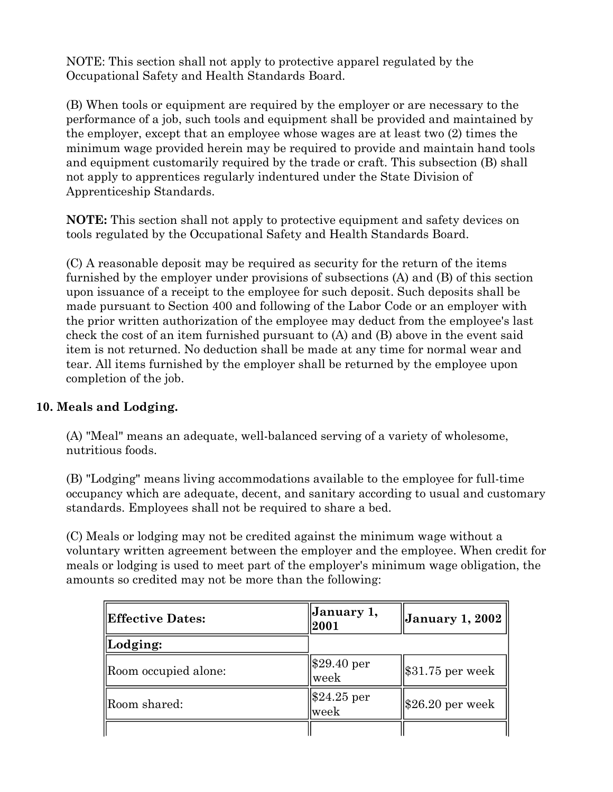NOTE: This section shall not apply to protective apparel regulated by the Occupational Safety and Health Standards Board.

(B) When tools or equipment are required by the employer or are necessary to the performance of a job, such tools and equipment shall be provided and maintained by the employer, except that an employee whose wages are at least two (2) times the minimum wage provided herein may be required to provide and maintain hand tools and equipment customarily required by the trade or craft. This subsection (B) shall not apply to apprentices regularly indentured under the State Division of Apprenticeship Standards.

**NOTE:** This section shall not apply to protective equipment and safety devices on tools regulated by the Occupational Safety and Health Standards Board.

(C) A reasonable deposit may be required as security for the return of the items furnished by the employer under provisions of subsections (A) and (B) of this section upon issuance of a receipt to the employee for such deposit. Such deposits shall be made pursuant to Section 400 and following of the Labor Code or an employer with the prior written authorization of the employee may deduct from the employee's last check the cost of an item furnished pursuant to (A) and (B) above in the event said item is not returned. No deduction shall be made at any time for normal wear and tear. All items furnished by the employer shall be returned by the employee upon completion of the job.

# **10. Meals and Lodging.**

(A) "Meal" means an adequate, well-balanced serving of a variety of wholesome, nutritious foods.

(B) "Lodging" means living accommodations available to the employee for full-time occupancy which are adequate, decent, and sanitary according to usual and customary standards. Employees shall not be required to share a bed.

(C) Meals or lodging may not be credited against the minimum wage without a voluntary written agreement between the employer and the employee. When credit for meals or lodging is used to meet part of the employer's minimum wage obligation, the amounts so credited may not be more than the following:

| <b>Effective Dates:</b> | ∥January 1,<br>2001   | January 1, 2002              |
|-------------------------|-----------------------|------------------------------|
| Lodging:                |                       |                              |
| Room occupied alone:    | \$29.40 per<br>week   | $\parallel$ \$31.75 per week |
| Room shared:            | $\$24.25$ per<br>week | $\parallel$ \$26.20 per week |
|                         |                       |                              |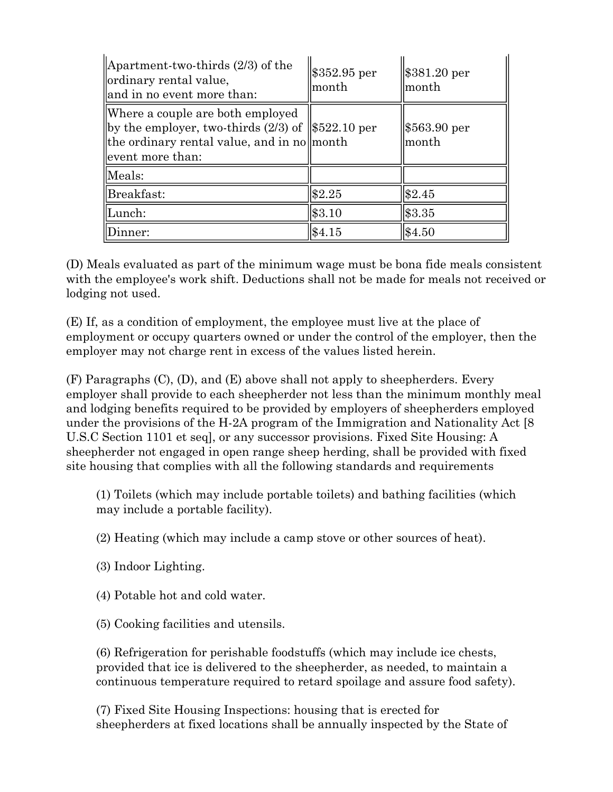| Apartment-two-thirds $(2/3)$ of the<br>ordinary rental value,<br>and in no event more than:                                                                          | \$352.95 per<br>lmonth | \$381.20 per<br>lmonth |
|----------------------------------------------------------------------------------------------------------------------------------------------------------------------|------------------------|------------------------|
| Where a couple are both employed<br>by the employer, two-thirds $(2/3)$ of $\frac{1}{3}522.10$ per<br>the ordinary rental value, and in no month<br>event more than: |                        | \$563.90 per<br>lmonth |
| Meals:                                                                                                                                                               |                        |                        |
| Breakfast:                                                                                                                                                           | \$2.25                 | $\$2.45$               |
| ∥Lunch:                                                                                                                                                              | 33.10                  | \$3.35                 |
| Dinner:                                                                                                                                                              | \$4.15                 | \$4.50                 |

(D) Meals evaluated as part of the minimum wage must be bona fide meals consistent with the employee's work shift. Deductions shall not be made for meals not received or lodging not used.

(E) If, as a condition of employment, the employee must live at the place of employment or occupy quarters owned or under the control of the employer, then the employer may not charge rent in excess of the values listed herein.

(F) Paragraphs (C), (D), and (E) above shall not apply to sheepherders. Every employer shall provide to each sheepherder not less than the minimum monthly meal and lodging benefits required to be provided by employers of sheepherders employed under the provisions of the H-2A program of the Immigration and Nationality Act [8 U.S.C Section 1101 et seq], or any successor provisions. Fixed Site Housing: A sheepherder not engaged in open range sheep herding, shall be provided with fixed site housing that complies with all the following standards and requirements

(1) Toilets (which may include portable toilets) and bathing facilities (which may include a portable facility).

(2) Heating (which may include a camp stove or other sources of heat).

(3) Indoor Lighting.

(4) Potable hot and cold water.

(5) Cooking facilities and utensils.

(6) Refrigeration for perishable foodstuffs (which may include ice chests, provided that ice is delivered to the sheepherder, as needed, to maintain a continuous temperature required to retard spoilage and assure food safety).

(7) Fixed Site Housing Inspections: housing that is erected for sheepherders at fixed locations shall be annually inspected by the State of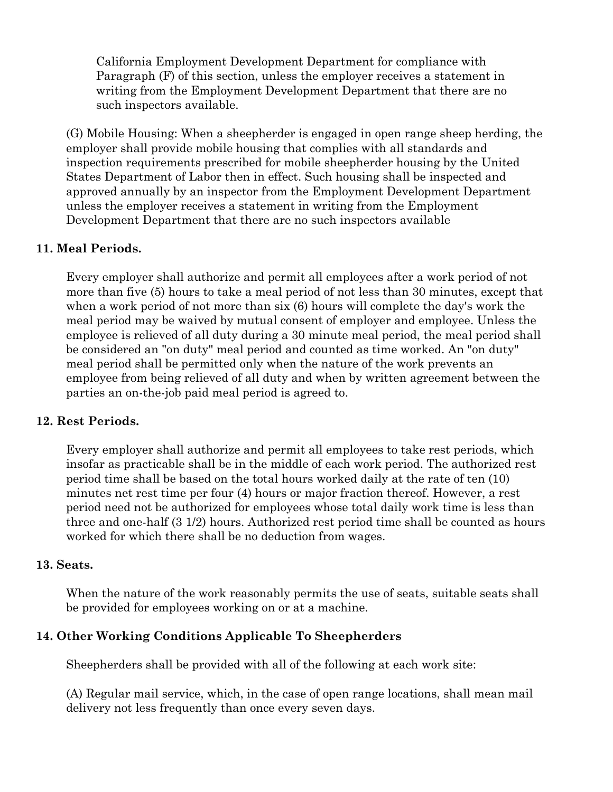California Employment Development Department for compliance with Paragraph (F) of this section, unless the employer receives a statement in writing from the Employment Development Department that there are no such inspectors available.

(G) Mobile Housing: When a sheepherder is engaged in open range sheep herding, the employer shall provide mobile housing that complies with all standards and inspection requirements prescribed for mobile sheepherder housing by the United States Department of Labor then in effect. Such housing shall be inspected and approved annually by an inspector from the Employment Development Department unless the employer receives a statement in writing from the Employment Development Department that there are no such inspectors available

### **11. Meal Periods.**

Every employer shall authorize and permit all employees after a work period of not more than five (5) hours to take a meal period of not less than 30 minutes, except that when a work period of not more than six (6) hours will complete the day's work the meal period may be waived by mutual consent of employer and employee. Unless the employee is relieved of all duty during a 30 minute meal period, the meal period shall be considered an "on duty" meal period and counted as time worked. An "on duty" meal period shall be permitted only when the nature of the work prevents an employee from being relieved of all duty and when by written agreement between the parties an on-the-job paid meal period is agreed to.

#### **12. Rest Periods.**

Every employer shall authorize and permit all employees to take rest periods, which insofar as practicable shall be in the middle of each work period. The authorized rest period time shall be based on the total hours worked daily at the rate of ten (10) minutes net rest time per four (4) hours or major fraction thereof. However, a rest period need not be authorized for employees whose total daily work time is less than three and one-half (3 1/2) hours. Authorized rest period time shall be counted as hours worked for which there shall be no deduction from wages.

#### **13. Seats.**

When the nature of the work reasonably permits the use of seats, suitable seats shall be provided for employees working on or at a machine.

#### **14. Other Working Conditions Applicable To Sheepherders**

Sheepherders shall be provided with all of the following at each work site:

(A) Regular mail service, which, in the case of open range locations, shall mean mail delivery not less frequently than once every seven days.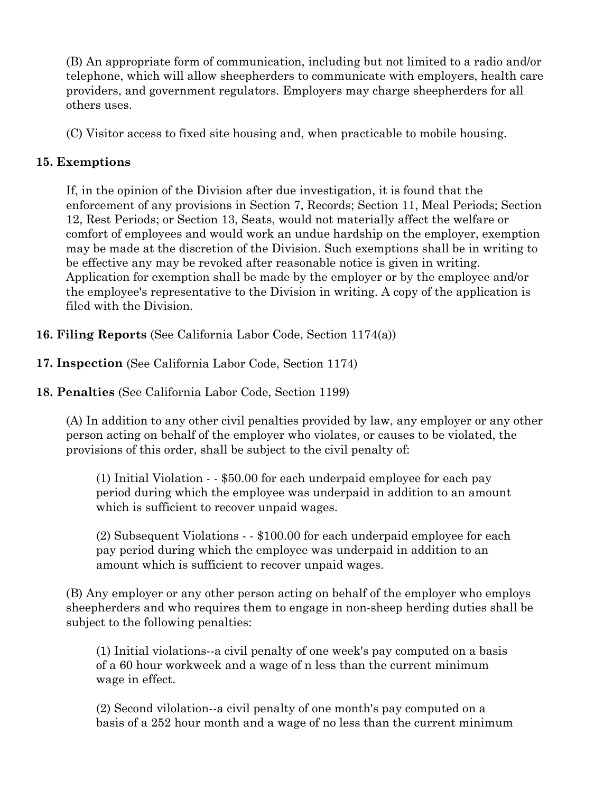(B) An appropriate form of communication, including but not limited to a radio and/or telephone, which will allow sheepherders to communicate with employers, health care providers, and government regulators. Employers may charge sheepherders for all others uses.

(C) Visitor access to fixed site housing and, when practicable to mobile housing.

# **15. Exemptions**

If, in the opinion of the Division after due investigation, it is found that the enforcement of any provisions in Section 7, Records; Section 11, Meal Periods; Section 12, Rest Periods; or Section 13, Seats, would not materially affect the welfare or comfort of employees and would work an undue hardship on the employer, exemption may be made at the discretion of the Division. Such exemptions shall be in writing to be effective any may be revoked after reasonable notice is given in writing. Application for exemption shall be made by the employer or by the employee and/or the employee's representative to the Division in writing. A copy of the application is filed with the Division.

# **16. Filing Reports** (See California Labor Code, Section 1174(a))

# **17. Inspection** (See California Labor Code, Section 1174)

**18. Penalties** (See California Labor Code, Section 1199)

(A) In addition to any other civil penalties provided by law, any employer or any other person acting on behalf of the employer who violates, or causes to be violated, the provisions of this order, shall be subject to the civil penalty of:

(1) Initial Violation - - \$50.00 for each underpaid employee for each pay period during which the employee was underpaid in addition to an amount which is sufficient to recover unpaid wages.

(2) Subsequent Violations - - \$100.00 for each underpaid employee for each pay period during which the employee was underpaid in addition to an amount which is sufficient to recover unpaid wages.

(B) Any employer or any other person acting on behalf of the employer who employs sheepherders and who requires them to engage in non-sheep herding duties shall be subject to the following penalties:

(1) Initial violations--a civil penalty of one week's pay computed on a basis of a 60 hour workweek and a wage of n less than the current minimum wage in effect.

(2) Second vilolation--a civil penalty of one month's pay computed on a basis of a 252 hour month and a wage of no less than the current minimum